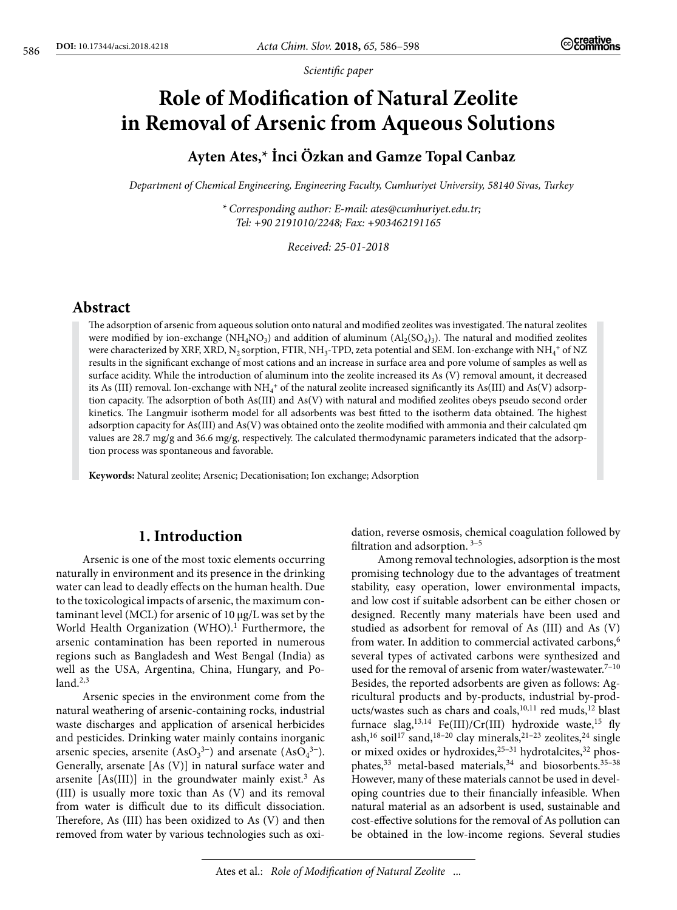*Scientific paper*

# **Role of Modification of Natural Zeolite in Removal of Arsenic from Aqueous Solutions**

# **Ayten Ates,\* İnci Özkan and Gamze Topal Canbaz**

*Department of Chemical Engineering, Engineering Faculty, Cumhuriyet University, 58140 Sivas, Turkey*

*\* Corresponding author: E-mail: [ates@cumhuriyet.edu.tr;](mailto:ates@cumhuriyet.edu.tr) Tel: +90 2191010/2248; Fax: +903462191165*

*Received: 25-01-2018*

## **Abstract**

The adsorption of arsenic from aqueous solution onto natural and modified zeolites was investigated. The natural zeolites were modified by ion-exchange (NH<sub>4</sub>NO<sub>3</sub>) and addition of aluminum ( $\text{Al}_2(\text{SO}_4)_3$ ). The natural and modified zeolites were characterized by XRF, XRD,  $N_2$  sorption, FTIR, NH<sub>3</sub>-TPD, zeta potential and SEM. Ion-exchange with NH<sub>4</sub><sup>+</sup> of NZ results in the significant exchange of most cations and an increase in surface area and pore volume of samples as well as surface acidity. While the introduction of aluminum into the zeolite increased its As (V) removal amount, it decreased its As (III) removal. Ion-exchange with  $NH_4^+$  of the natural zeolite increased significantly its As(III) and As(V) adsorption capacity. The adsorption of both As(III) and As(V) with natural and modified zeolites obeys pseudo second order kinetics. The Langmuir isotherm model for all adsorbents was best fitted to the isotherm data obtained. The highest adsorption capacity for As(III) and As(V) was obtained onto the zeolite modified with ammonia and their calculated qm values are 28.7 mg/g and 36.6 mg/g, respectively. The calculated thermodynamic parameters indicated that the adsorption process was spontaneous and favorable.

**Keywords:** Natural zeolite; Arsenic; Decationisation; Ion exchange; Adsorption

## **1. Introduction**

Arsenic is one of the most toxic elements occurring naturally in environment and its presence in the drinking water can lead to deadly effects on the human health. Due to the toxicological impacts of arsenic, the maximum contaminant level (MCL) for arsenic of 10 μg/L was set by the World Health Organization (WHO).<sup>1</sup> Furthermore, the arsenic contamination has been reported in numerous regions such as Bangladesh and West Bengal (India) as well as the USA, Argentina, China, Hungary, and Po $land.<sup>2,3</sup>$ 

Arsenic species in the environment come from the natural weathering of arsenic-containing rocks, industrial waste discharges and application of arsenical herbicides and pesticides. Drinking water mainly contains inorganic arsenic species, arsenite  $(AsO<sub>3</sub><sup>3-</sup>)$  and arsenate  $(AsO<sub>4</sub><sup>3-</sup>)$ . Generally, arsenate [As (V)] in natural surface water and arsenite  $[As(III)]$  in the groundwater mainly exist.<sup>3</sup> As (III) is usually more toxic than As (V) and its removal from water is difficult due to its difficult dissociation. Therefore, As (III) has been oxidized to As (V) and then removed from water by various technologies such as oxidation, reverse osmosis, chemical coagulation followed by filtration and adsorption.  $3-5$ 

Among removal technologies, adsorption is the most promising technology due to the advantages of treatment stability, easy operation, lower environmental impacts, and low cost if suitable adsorbent can be either chosen or designed. Recently many materials have been used and studied as adsorbent for removal of As (III) and As (V) from water. In addition to commercial activated carbons,<sup>6</sup> several types of activated carbons were synthesized and used for the removal of arsenic from water/wastewater. $7-10$ Besides, the reported adsorbents are given as follows: Agricultural products and by-products, industrial by-products/wastes such as chars and coals,<sup>10,11</sup> red muds,<sup>12</sup> blast furnace slag,<sup>13,14</sup> Fe(III)/Cr(III) hydroxide waste,<sup>15</sup> fly ash,<sup>16</sup> soil<sup>17</sup> sand,<sup>18-20</sup> clay minerals,<sup>21-23</sup> zeolites,<sup>24</sup> single or mixed oxides or hydroxides,<sup>25-31</sup> hydrotalcites,<sup>32</sup> phosphates,<sup>33</sup> metal-based materials,<sup>34</sup> and biosorbents.<sup>35-38</sup> However, many of these materials cannot be used in developing countries due to their financially infeasible. When natural material as an adsorbent is used, sustainable and cost-effective solutions for the removal of As pollution can be obtained in the low-income regions. Several studies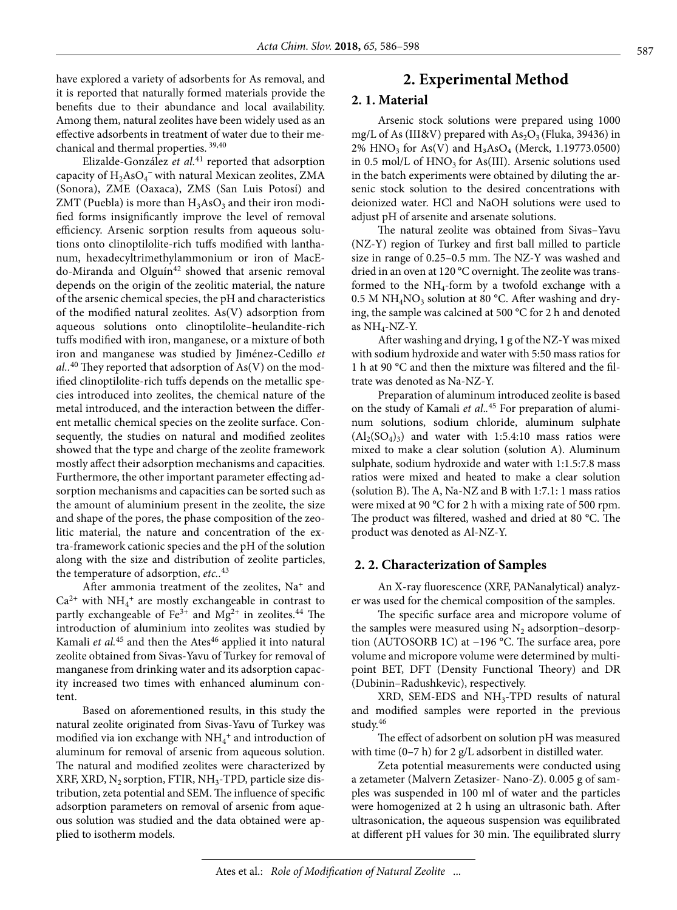have explored a variety of adsorbents for As removal, and it is reported that naturally formed materials provide the benefits due to their abundance and local availability. Among them, natural zeolites have been widely used as an effective adsorbents in treatment of water due to their mechanical and thermal properties. 39,40

Elizalde-González *et al.*41 reported that adsorption capacity of  $\rm H_2AsO_4^-$  with natural Mexican zeolites, ZMA (Sonora), ZME (Oaxaca), ZMS (San Luis Potosí) and ZMT (Puebla) is more than  $H_3AsO_3$  and their iron modified forms insignificantly improve the level of removal efficiency. Arsenic sorption results from aqueous solutions onto clinoptilolite-rich tuffs modified with lanthanum, hexadecyltrimethylammonium or iron of MacEdo-Miranda and Olguín<sup>42</sup> showed that arsenic removal depends on the origin of the zeolitic material, the nature of the arsenic chemical species, the pH and characteristics of the modified natural zeolites. As(V) adsorption from aqueous solutions onto clinoptilolite–heulandite-rich tuffs modified with iron, manganese, or a mixture of both iron and manganese was studied by Jiménez-Cedillo *et al..*40 They reported that adsorption of As(V) on the modified clinoptilolite-rich tuffs depends on the metallic species introduced into zeolites, the chemical nature of the metal introduced, and the interaction between the different metallic chemical species on the zeolite surface. Consequently, the studies on natural and modified zeolites showed that the type and charge of the zeolite framework mostly affect their adsorption mechanisms and capacities. Furthermore, the other important parameter effecting adsorption mechanisms and capacities can be sorted such as the amount of aluminium present in the zeolite, the size and shape of the pores, the phase composition of the zeolitic material, the nature and concentration of the extra-framework cationic species and the pH of the solution along with the size and distribution of zeolite particles, the temperature of adsorption, *etc..*<sup>43</sup>

After ammonia treatment of the zeolites, Na<sup>+</sup> and  $Ca^{2+}$  with  $NH_4^+$  are mostly exchangeable in contrast to partly exchangeable of  $Fe^{3+}$  and  $Mg^{2+}$  in zeolites.<sup>44</sup> The introduction of aluminium into zeolites was studied by Kamali *et al.*<sup>45</sup> and then the Ates<sup>46</sup> applied it into natural zeolite obtained from Sivas-Yavu of Turkey for removal of manganese from drinking water and its adsorption capacity increased two times with enhanced aluminum content.

Based on aforementioned results, in this study the natural zeolite originated from Sivas-Yavu of Turkey was modified via ion exchange with  $\mathrm{NH}_4{}^+$  and introduction of aluminum for removal of arsenic from aqueous solution. The natural and modified zeolites were characterized by XRF, XRD,  $N_2$  sorption, FTIR, NH<sub>3</sub>-TPD, particle size distribution, zeta potential and SEM. The influence of specific adsorption parameters on removal of arsenic from aqueous solution was studied and the data obtained were applied to isotherm models.

## **2. Experimental Method**

#### **2. 1. Material**

Arsenic stock solutions were prepared using 1000 mg/L of As (III&V) prepared with  $As_2O_3$  (Fluka, 39436) in  $2\%$  HNO<sub>3</sub> for As(V) and H<sub>3</sub>AsO<sub>4</sub> (Merck, 1.19773.0500) in 0.5 mol/L of  $HNO<sub>3</sub>$  for As(III). Arsenic solutions used in the batch experiments were obtained by diluting the arsenic stock solution to the desired concentrations with deionized water. HCl and NaOH solutions were used to adjust pH of arsenite and arsenate solutions.

The natural zeolite was obtained from Sivas–Yavu (NZ-Y) region of Turkey and first ball milled to particle size in range of 0.25–0.5 mm. The NZ-Y was washed and dried in an oven at 120 °C overnight. The zeolite was transformed to the  $NH_4$ -form by a twofold exchange with a  $0.5$  M NH<sub>4</sub>NO<sub>3</sub> solution at 80 °C. After washing and drying, the sample was calcined at 500 °C for 2 h and denoted as  $NH_4$ -NZ-Y.

After washing and drying, 1 g of the NZ-Y was mixed with sodium hydroxide and water with 5:50 mass ratios for 1 h at 90 °C and then the mixture was filtered and the filtrate was denoted as Na-NZ-Y.

Preparation of aluminum introduced zeolite is based on the study of Kamali *et al*.*.* <sup>45</sup> For preparation of aluminum solutions, sodium chloride, aluminum sulphate  $(Al_2(SO_4)_3)$  and water with 1:5.4:10 mass ratios were mixed to make a clear solution (solution A). Aluminum sulphate, sodium hydroxide and water with 1:1.5:7.8 mass ratios were mixed and heated to make a clear solution (solution B). The A, Na-NZ and B with 1:7.1: 1 mass ratios were mixed at 90 °C for 2 h with a mixing rate of 500 rpm. The product was filtered, washed and dried at 80 °C. The product was denoted as Al-NZ-Y.

#### **2. 2. Characterization of Samples**

An X-ray fluorescence (XRF, PANanalytical) analyzer was used for the chemical composition of the samples.

The specific surface area and micropore volume of the samples were measured using  $N_2$  adsorption–desorption (AUTOSORB 1C) at −196 °C. The surface area, pore volume and micropore volume were determined by multipoint BET, DFT (Density Functional Theory) and DR (Dubinin–Radushkevic), respectively.

 $XRD$ , SEM-EDS and  $NH<sub>3</sub>-TPD$  results of natural and modified samples were reported in the previous study.46

The effect of adsorbent on solution pH was measured with time (0–7 h) for 2 g/L adsorbent in distilled water.

Zeta potential measurements were conducted using a zetameter (Malvern Zetasizer- Nano-Z). 0.005 g of samples was suspended in 100 ml of water and the particles were homogenized at 2 h using an ultrasonic bath. After ultrasonication, the aqueous suspension was equilibrated at different pH values for 30 min. The equilibrated slurry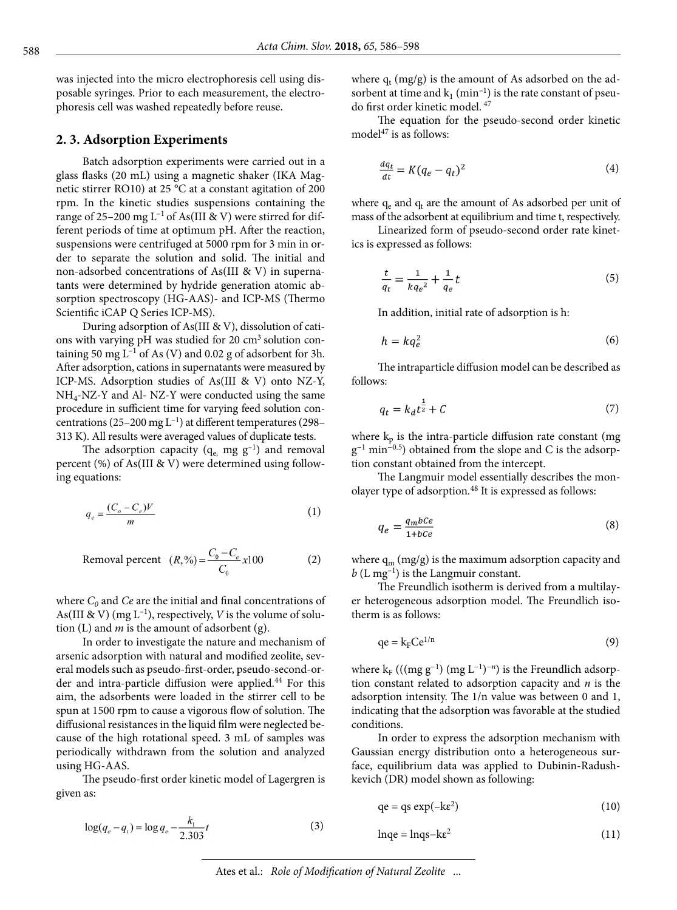was injected into the micro electrophoresis cell using disposable syringes. Prior to each measurement, the electrophoresis cell was washed repeatedly before reuse.

#### **2. 3. Adsorption Experiments**

Batch adsorption experiments were carried out in a glass flasks (20 mL) using a magnetic shaker (IKA Magnetic stirrer RO10) at 25 °C at a constant agitation of 200 rpm. In the kinetic studies suspensions containing the range of 25–200 mg  $L^{-1}$  of As(III & V) were stirred for different periods of time at optimum pH. After the reaction, suspensions were centrifuged at 5000 rpm for 3 min in order to separate the solution and solid. The initial and non-adsorbed concentrations of As(III & V) in supernatants were determined by hydride generation atomic absorption spectroscopy (HG-AAS)- and ICP-MS (Thermo Scientific iCAP Q Series ICP-MS).

During adsorption of As(III & V), dissolution of cations with varying pH was studied for  $20 \text{ cm}^3$  solution containing 50 mg  $L^{-1}$  of As (V) and 0.02 g of adsorbent for 3h. After adsorption, cations in supernatants were measured by ICP-MS. Adsorption studies of As(III & V) onto NZ-Y, NH4-NZ-Y and Al- NZ-Y were conducted using the same procedure in sufficient time for varying feed solution concentrations (25–200 mg  $L^{-1}$ ) at different temperatures (298– 313 K). All results were averaged values of duplicate tests.

The adsorption capacity ( $q_e$  mg  $g^{-1}$ ) and removal percent (%) of As(III & V) were determined using following equations:

$$
q_e = \frac{(C_o - C_e)V}{m} \tag{1}
$$

Removal percent 
$$
(R, \% ) = \frac{C_0 - C_e}{C_0} x 100
$$
 (2)

where  $C_0$  and  $Ce$  are the initial and final concentrations of As(III & V) (mg  $L^{-1}$ ), respectively, *V* is the volume of solution (L) and *m* is the amount of adsorbent (g).

In order to investigate the nature and mechanism of arsenic adsorption with natural and modified zeolite, several models such as pseudo-first-order, pseudo-second-order and intra-particle diffusion were applied.<sup>44</sup> For this aim, the adsorbents were loaded in the stirrer cell to be spun at 1500 rpm to cause a vigorous flow of solution. The diffusional resistances in the liquid film were neglected because of the high rotational speed. 3 mL of samples was periodically withdrawn from the solution and analyzed using HG-AAS.

The pseudo-first order kinetic model of Lagergren is given as:

$$
\log(q_e - q_t) = \log q_e - \frac{k_1}{2.303}t\tag{3}
$$

where  $q_t$  (mg/g) is the amount of As adsorbed on the adsorbent at time and  $k_1$  (min<sup>-1</sup>) is the rate constant of pseudo first order kinetic model. 47

The equation for the pseudo-second order kinetic model $47$  is as follows:

$$
\frac{dq_t}{dt} = K(q_e - q_t)^2 \tag{4}
$$

where  $q_e$  and  $q_t$  are the amount of As adsorbed per unit of mass of the adsorbent at equilibrium and time t, respectively.

Linearized form of pseudo-second order rate kinetics is expressed as follows:

$$
\frac{t}{q_t} = \frac{1}{kq_e^2} + \frac{1}{q_e}t\tag{5}
$$

In addition, initial rate of adsorption is h:

$$
h = kq_e^2 \tag{6}
$$

The intraparticle diffusion model can be described as follows:

$$
q_t = k_d t^{\frac{1}{2}} + C \tag{7}
$$

where  $k_p$  is the intra-particle diffusion rate constant (mg  $g^{-1}$  min<sup>-0.5</sup>) obtained from the slope and C is the adsorption constant obtained from the intercept.

The Langmuir model essentially describes the monolayer type of adsorption*.* 48 It is expressed as follows:

$$
q_e = \frac{q_m b c e}{1 + b c e} \tag{8}
$$

where  $q_m (mg/g)$  is the maximum adsorption capacity and  $b$  (L mg<sup>-1</sup>) is the Langmuir constant.

The Freundlich isotherm is derived from a multilayer heterogeneous adsorption model. The Freundlich isotherm is as follows:

$$
qe = k_F Ce^{1/n}
$$
 (9)

where  $k_F$  (((mg g<sup>-1</sup>) (mg L<sup>-1</sup>)<sup>-*n*</sup>) is the Freundlich adsorption constant related to adsorption capacity and *n* is the adsorption intensity. The 1/n value was between 0 and 1, indicating that the adsorption was favorable at the studied conditions.

In order to express the adsorption mechanism with Gaussian energy distribution onto a heterogeneous surface, equilibrium data was applied to Dubinin-Radushkevich (DR) model shown as following:

$$
qe = qs \exp(-k\epsilon^2)
$$
 (10)

$$
lnqe = lnqs - ke^2
$$
 (11)

Ates et al.: *Role of Modification of Natural Zeolite* ...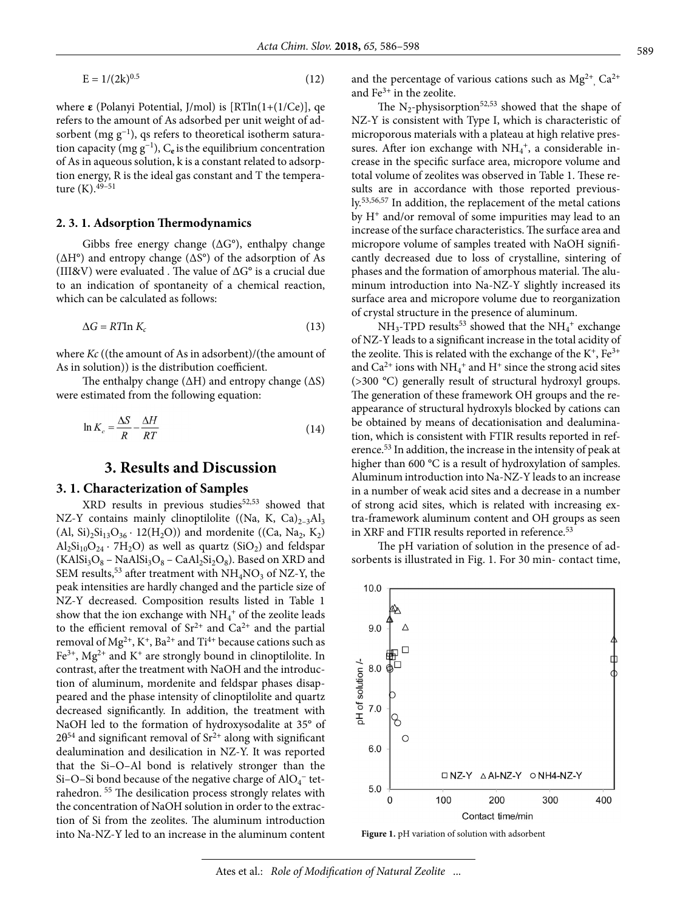$$
E = 1/(2k)^{0.5}
$$
 (12)

where **ε** (Polanyi Potential, J/mol) is [RTln(1+(1/Ce)], qe refers to the amount of As adsorbed per unit weight of adsorbent (mg  $g^{-1}$ ), qs refers to theoretical isotherm saturation capacity (mg g−1), C**e** isthe equilibrium concentration of As in aqueous solution, k is a constant related to adsorption energy, R is the ideal gas constant and T the temperature  $(K)$ .  $49-51$ 

#### **2. 3. 1. Adsorption Thermodynamics**

Gibbs free energy change (∆G°), enthalpy change (∆H°) and entropy change (∆S°) of the adsorption of As (III&V) were evaluated . The value of ∆G° is a crucial due to an indication of spontaneity of a chemical reaction, which can be calculated as follows:

$$
\Delta G = RT \ln K_c \tag{13}
$$

where *Kc* ((the amount of As in adsorbent)/(the amount of As in solution)) is the distribution coefficient.

The enthalpy change ( $\Delta H$ ) and entropy change ( $\Delta S$ ) were estimated from the following equation:

$$
\ln K_c = \frac{\Delta S}{R} - \frac{\Delta H}{RT}
$$
\n(14)

## **3. Results and Discussion**

#### **3. 1. Characterization of Samples**

 $XRD$  results in previous studies<sup>52,53</sup> showed that NZ-Y contains mainly clinoptilolite ((Na, K,  $Ca)_{2-3}Al_3$ (Al, Si)<sub>2</sub>Si<sub>13</sub>O<sub>36</sub> · 12(H<sub>2</sub>O)) and mordenite ((Ca, Na<sub>2</sub>, K<sub>2</sub>)  $\text{Al}_2\text{Si}_{10}\text{O}_{24} \cdot \text{7H}_2\text{O}$ ) as well as quartz (SiO<sub>2</sub>) and feldspar  $(KAISi<sub>3</sub>O<sub>8</sub> - NaAISi<sub>3</sub>O<sub>8</sub> - CaAl<sub>2</sub>Si<sub>2</sub>O<sub>8</sub>)$ . Based on XRD and SEM results,<sup>53</sup> after treatment with  $NH<sub>4</sub>NO<sub>3</sub>$  of NZ-Y, the peak intensities are hardly changed and the particle size of NZ-Y decreased. Composition results listed in Table 1 show that the ion exchange with  $\mathrm{NH_4^+}$  of the zeolite leads to the efficient removal of  $Sr^{2+}$  and  $Ca^{2+}$  and the partial removal of  $Mg^{2+}$ , K<sup>+</sup>, Ba<sup>2+</sup> and Ti<sup>4+</sup> because cations such as  $Fe<sup>3+</sup>$ , Mg<sup>2+</sup> and K<sup>+</sup> are strongly bound in clinoptilolite. In contrast, after the treatment with NaOH and the introduction of aluminum, mordenite and feldspar phases disappeared and the phase intensity of clinoptilolite and quartz decreased significantly. In addition, the treatment with NaOH led to the formation of hydroxysodalite at 35° of  $2\theta^{54}$  and significant removal of Sr<sup>2+</sup> along with significant dealumination and desilication in NZ-Y. It was reported that the Si–O–Al bond is relatively stronger than the Si–O–Si bond because of the negative charge of  $\text{AlO}_4^-$  tetrahedron. 55 The desilication process strongly relates with the concentration of NaOH solution in order to the extraction of Si from the zeolites. The aluminum introduction into Na-NZ-Y led to an increase in the aluminum content

and the percentage of various cations such as  $Mg^{2+}$ ,  $Ca^{2+}$ and  $Fe<sup>3+</sup>$  in the zeolite.

The  $N_2$ -physisorption<sup>52,53</sup> showed that the shape of NZ-Y is consistent with Type I, which is characteristic of microporous materials with a plateau at high relative pressures. After ion exchange with  $NH_4^+$ , a considerable increase in the specific surface area, micropore volume and total volume of zeolites was observed in Table 1. These results are in accordance with those reported previously.53,56,57 In addition, the replacement of the metal cations by H+ and/or removal of some impurities may lead to an increase of the surface characteristics. The surface area and micropore volume of samples treated with NaOH significantly decreased due to loss of crystalline, sintering of phases and the formation of amorphous material. The aluminum introduction into Na-NZ-Y slightly increased its surface area and micropore volume due to reorganization of crystal structure in the presence of aluminum.

 $NH_3$ -TPD results<sup>53</sup> showed that the  $NH_4$ <sup>+</sup> exchange of NZ-Y leads to a significant increase in the total acidity of the zeolite. This is related with the exchange of the  $K^+$ ,  $Fe^{3+}$ and  $Ca^{2+}$  ions with  $NH_4^+$  and  $H^+$  since the strong acid sites (>300 °C) generally result of structural hydroxyl groups. The generation of these framework OH groups and the reappearance of structural hydroxyls blocked by cations can be obtained by means of decationisation and dealumination, which is consistent with FTIR results reported in reference.53 In addition, the increase in the intensity of peak at higher than 600 °C is a result of hydroxylation of samples. Aluminum introduction into Na-NZ-Y leads to an increase in a number of weak acid sites and a decrease in a number of strong acid sites, which is related with increasing extra-framework aluminum content and OH groups as seen in XRF and FTIR results reported in reference.<sup>53</sup>

The pH variation of solution in the presence of adsorbents is illustrated in Fig. 1. For 30 min- contact time,



**Figure 1.** pH variation of solution with adsorbent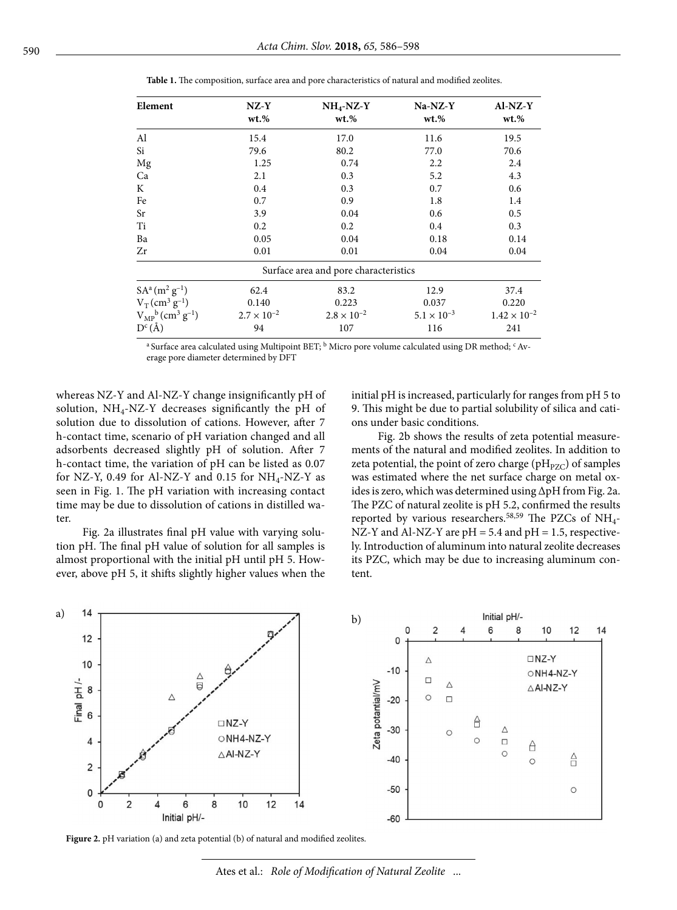| Element                                       | $NZ-Y$<br>$wt. \%$   | $NH4-NZ-Y$<br>$wt. \%$                | $Na-NZ-Y$<br>$wt.$ % | $AI-NZ-Y$<br>$wt. \%$ |
|-----------------------------------------------|----------------------|---------------------------------------|----------------------|-----------------------|
| Al                                            | 15.4                 | 17.0                                  | 11.6                 | 19.5                  |
| Si                                            | 79.6                 | 80.2                                  | 77.0                 | 70.6                  |
| Mg                                            | 1.25                 | 0.74                                  | 2.2                  | 2.4                   |
| Ca                                            | 2.1                  | 0.3                                   | 5.2                  | 4.3                   |
| K                                             | 0.4                  | 0.3                                   | 0.7                  | 0.6                   |
| Fe                                            | 0.7                  | 0.9                                   | 1.8                  | 1.4                   |
| Sr                                            | 3.9                  | 0.04                                  | 0.6                  | 0.5                   |
| Ti                                            | 0.2                  | 0.2                                   | 0.4                  | 0.3                   |
| Ba                                            | 0.05                 | 0.04                                  | 0.18                 | 0.14                  |
| Zr                                            | 0.01                 | 0.01                                  | 0.04                 | 0.04                  |
|                                               |                      | Surface area and pore characteristics |                      |                       |
| $SA^{a}(m^{2} g^{-1})$                        | 62.4                 | 83.2                                  | 12.9                 | 37.4                  |
| $V_T$ (cm <sup>3</sup> g <sup>-1</sup> )      | 0.140                | 0.223                                 | 0.037                | 0.220                 |
| $V_{MP}^b$ (cm <sup>3</sup> g <sup>-1</sup> ) | $2.7 \times 10^{-2}$ | $2.8 \times 10^{-2}$                  | $5.1 \times 10^{-3}$ | $1.42 \times 10^{-2}$ |
| $D^{c}(\AA)$                                  | 94                   | 107                                   | 116                  | 241                   |

**Table 1.** The composition, surface area and pore characteristics of natural and modified zeolites.

a Surface area calculated using Multipoint BET; <sup>b</sup> Micro pore volume calculated using DR method; <sup>c</sup> Average pore diameter determined by DFT

whereas NZ-Y and Al-NZ-Y change insignificantly pH of solution,  $NH_4$ -NZ-Y decreases significantly the pH of solution due to dissolution of cations. However, after 7 h-contact time, scenario of pH variation changed and all adsorbents decreased slightly pH of solution. After 7 h-contact time, the variation of pH can be listed as 0.07 for NZ-Y, 0.49 for Al-NZ-Y and 0.15 for  $NH_4$ -NZ-Y as seen in Fig. 1. The pH variation with increasing contact time may be due to dissolution of cations in distilled water.

Fig. 2a illustrates final pH value with varying solution pH. The final pH value of solution for all samples is almost proportional with the initial pH until pH 5. However, above pH 5, it shifts slightly higher values when the initial pH is increased, particularly for ranges from pH 5 to 9. This might be due to partial solubility of silica and cations under basic conditions.

Fig. 2b shows the results of zeta potential measurements of the natural and modified zeolites. In addition to zeta potential, the point of zero charge ( $pH_{PZC}$ ) of samples was estimated where the net surface charge on metal oxides is zero, which was determined using ΔpH from Fig. 2a. The PZC of natural zeolite is pH 5.2, confirmed the results reported by various researchers.<sup>58,59</sup> The PZCs of NH<sub>4</sub>-NZ-Y and Al-NZ-Y are  $pH = 5.4$  and  $pH = 1.5$ , respectively. Introduction of aluminum into natural zeolite decreases its PZC, which may be due to increasing aluminum content.



**Figure 2.** pH variation (a) and zeta potential (b) of natural and modified zeolites.

Ates et al.: *Role of Modification of Natural Zeolite* ...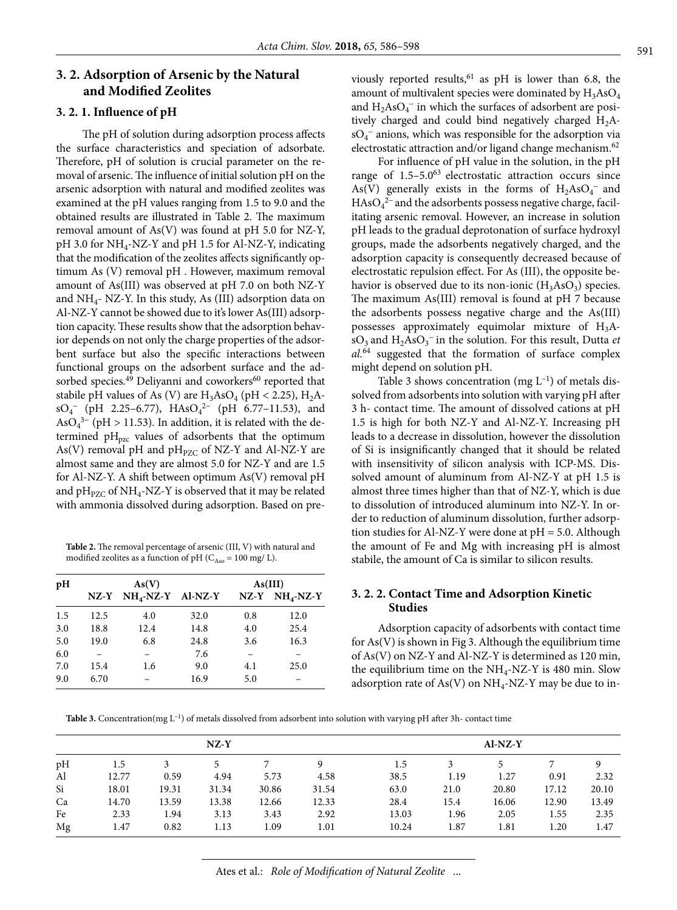## **3. 2. Adsorption of Arsenic by the Natural and Modified Zeolites**

#### **3. 2. 1. Influence of pH**

The pH of solution during adsorption process affects the surface characteristics and speciation of adsorbate. Therefore, pH of solution is crucial parameter on the removal of arsenic. The influence of initial solution pH on the arsenic adsorption with natural and modified zeolites was examined at the pH values ranging from 1.5 to 9.0 and the obtained results are illustrated in Table 2. The maximum removal amount of As(V) was found at pH 5.0 for NZ-Y, pH 3.0 for NH<sub>4</sub>-NZ-Y and pH 1.5 for Al-NZ-Y, indicating that the modification of the zeolites affects significantly optimum As (V) removal pH . However, maximum removal amount of As(III) was observed at pH 7.0 on both NZ-Y and  $NH<sub>4</sub>$ - NZ-Y. In this study, As (III) adsorption data on Al-NZ-Y cannot be showed due to it's lower As(III) adsorption capacity. These results show that the adsorption behavior depends on not only the charge properties of the adsorbent surface but also the specific interactions between functional groups on the adsorbent surface and the adsorbed species.<sup>49</sup> Deliyanni and coworkers<sup>60</sup> reported that stabile pH values of As (V) are  $H_3AsO_4$  (pH < 2.25),  $H_2A$  $sO_4^-$  (pH 2.25–6.77),  $HAsO_4^{2-}$  (pH 6.77–11.53), and As $O_4^{3-}$  (pH > 11.53). In addition, it is related with the determined  $pH_{pzc}$  values of adsorbents that the optimum As(V) removal pH and  $pH_{PZC}$  of NZ-Y and Al-NZ-Y are almost same and they are almost 5.0 for NZ-Y and are 1.5 for Al-NZ-Y. A shift between optimum As(V) removal pH and  $pH<sub>PZC</sub>$  of NH<sub>4</sub>-NZ-Y is observed that it may be related with ammonia dissolved during adsorption. Based on pre-

**Table 2.** The removal percentage of arsenic (III, V) with natural and modified zeolites as a function of pH ( $C_{Aso}$  = 100 mg/L).

| pH  |        | As(V)               |      | As(III) |             |
|-----|--------|---------------------|------|---------|-------------|
|     | $NZ-Y$ | $NH_4-NZ-Y$ Al-NZ-Y |      | $NZ-Y$  | $NH_4-NZ-Y$ |
| 1.5 | 12.5   | 4.0                 | 32.0 | 0.8     | 12.0        |
| 3.0 | 18.8   | 12.4                | 14.8 | 4.0     | 25.4        |
| 5.0 | 19.0   | 6.8                 | 24.8 | 3.6     | 16.3        |
| 6.0 |        |                     | 7.6  |         |             |
| 7.0 | 15.4   | 1.6                 | 9.0  | 4.1     | 25.0        |
| 9.0 | 6.70   |                     | 16.9 | 5.0     |             |

viously reported results,  $61$  as pH is lower than 6.8, the amount of multivalent species were dominated by  $H_3AsO_4$ and  $H_2AsO_4^-$  in which the surfaces of adsorbent are positively charged and could bind negatively charged  $H_2A$  $sO<sub>4</sub>$ <sup>-</sup> anions, which was responsible for the adsorption via electrostatic attraction and/or ligand change mechanism.<sup>62</sup>

For influence of pH value in the solution, in the pH range of 1.5–5.0<sup>63</sup> electrostatic attraction occurs since As(V) generally exists in the forms of  $H_2AsO_4^-$  and  $HAsO<sub>4</sub><sup>2-</sup>$  and the adsorbents possess negative charge, facilitating arsenic removal. However, an increase in solution pH leads to the gradual deprotonation of surface hydroxyl groups, made the adsorbents negatively charged, and the adsorption capacity is consequently decreased because of electrostatic repulsion effect. For As (III), the opposite behavior is observed due to its non-ionic  $(H_3AsO_3)$  species. The maximum As(III) removal is found at pH 7 because the adsorbents possess negative charge and the As(III) possesses approximately equimolar mixture of  $H_3A$ sO<sub>3</sub> and H<sub>2</sub>AsO<sub>3</sub><sup>-</sup> in the solution. For this result, Dutta *et al.*64 suggested that the formation of surface complex might depend on solution pH.

Table 3 shows concentration (mg  $L^{-1}$ ) of metals dissolved from adsorbents into solution with varying pH after 3 h- contact time. The amount of dissolved cations at pH 1.5 is high for both NZ-Y and Al-NZ-Y. Increasing pH leads to a decrease in dissolution, however the dissolution of Si is insignificantly changed that it should be related with insensitivity of silicon analysis with ICP-MS. Dissolved amount of aluminum from Al-NZ-Y at pH 1.5 is almost three times higher than that of NZ-Y, which is due to dissolution of introduced aluminum into NZ-Y. In order to reduction of aluminum dissolution, further adsorption studies for Al-NZ-Y were done at pH = 5.0. Although the amount of Fe and Mg with increasing pH is almost stabile, the amount of Ca is similar to silicon results.

## **3. 2. 2. Contact Time and Adsorption Kinetic Studies**

Adsorption capacity of adsorbents with contact time for  $As(V)$  is shown in Fig 3. Although the equilibrium time of As(V) on NZ-Y and Al-NZ-Y is determined as 120 min, the equilibrium time on the  $NH_4$ -NZ-Y is 480 min. Slow adsorption rate of  $As(V)$  on  $NH<sub>4</sub>-NZ-Y$  may be due to in-

**Table 3.** Concentration(mg  $L^{-1}$ ) of metals dissolved from adsorbent into solution with varying pH after 3h- contact time

| $NZ-Y$ |       |       |       |       | $AI-NZ-Y$ |       |      |       |       |       |
|--------|-------|-------|-------|-------|-----------|-------|------|-------|-------|-------|
| pH     | 1.5   |       |       |       | 9         | 1.5   |      |       |       |       |
| Al     | 12.77 | 0.59  | 4.94  | 5.73  | 4.58      | 38.5  | 1.19 | 1.27  | 0.91  | 2.32  |
| Si     | 18.01 | 19.31 | 31.34 | 30.86 | 31.54     | 63.0  | 21.0 | 20.80 | 17.12 | 20.10 |
| Ca     | 14.70 | 13.59 | 13.38 | 12.66 | 12.33     | 28.4  | 15.4 | 16.06 | 12.90 | 13.49 |
| Fe     | 2.33  | 1.94  | 3.13  | 3.43  | 2.92      | 13.03 | 1.96 | 2.05  | 1.55  | 2.35  |
| Mg     | 1.47  | 0.82  | 1.13  | 1.09  | 1.01      | 10.24 | 1.87 | 1.81  | 1.20  | 1.47  |

Ates et al.: *Role of Modification of Natural Zeolite* ...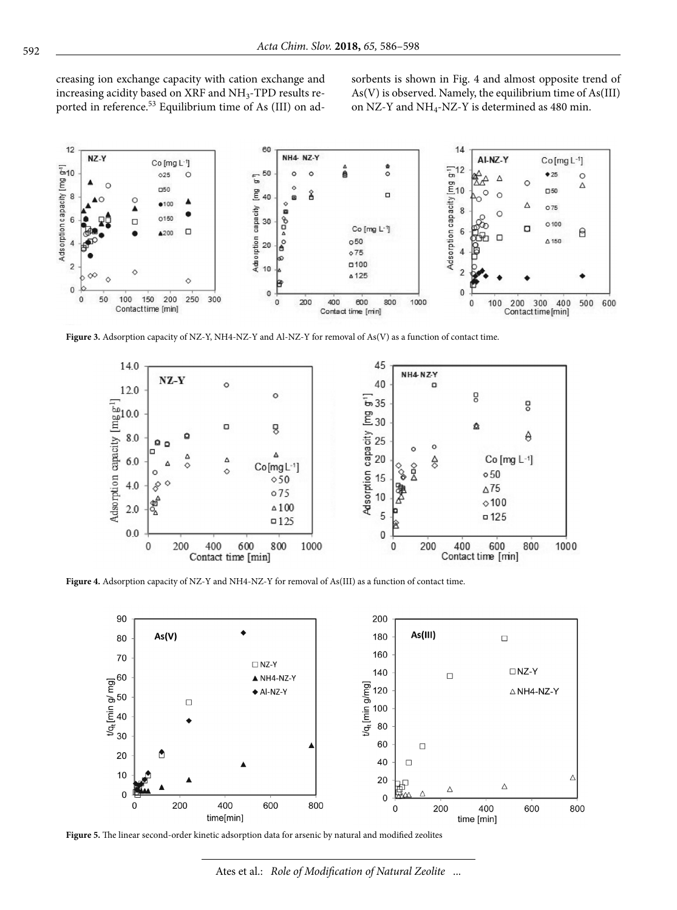creasing ion exchange capacity with cation exchange and increasing acidity based on XRF and  $NH_3$ -TPD results reported in reference.53 Equilibrium time of As (III) on adsorbents is shown in Fig. 4 and almost opposite trend of As(V) is observed. Namely, the equilibrium time of As(III) on NZ-Y and  $NH_4$ -NZ-Y is determined as 480 min.



**Figure 3.** Adsorption capacity of NZ-Y, NH4-NZ-Y and Al-NZ-Y for removal of As(V) as a function of contact time.



**Figure 4.** Adsorption capacity of NZ-Y and NH4-NZ-Y for removal of As(III) as a function of contact time.



**Figure 5.** The linear second-order kinetic adsorption data for arsenic by natural and modified zeolites

Ates et al.: *Role of Modification of Natural Zeolite* ...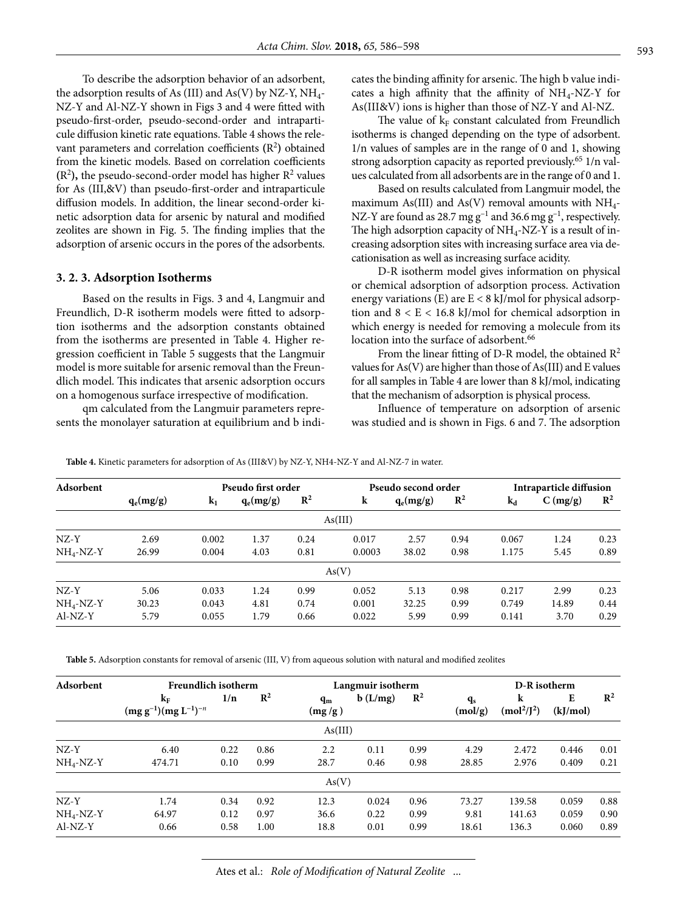To describe the adsorption behavior of an adsorbent, the adsorption results of As (III) and As(V) by NZ-Y,  $NH<sub>4</sub>$ -NZ-Y and Al-NZ-Y shown in Figs 3 and 4 were fitted with pseudo-first-order, pseudo-second-order and intraparticule diffusion kinetic rate equations. Table 4 shows the relevant parameters and correlation coefficients **(**R2 **)** obtained from the kinetic models. Based on correlation coefficients  $(R<sup>2</sup>)$ , the pseudo-second-order model has higher  $R<sup>2</sup>$  values for As (III,&V) than pseudo-first-order and intraparticule diffusion models. In addition, the linear second-order kinetic adsorption data for arsenic by natural and modified zeolites are shown in Fig. 5. The finding implies that the adsorption of arsenic occurs in the pores of the adsorbents.

#### **3. 2. 3. Adsorption Isotherms**

Based on the results in Figs. 3 and 4, Langmuir and Freundlich, D-R isotherm models were fitted to adsorption isotherms and the adsorption constants obtained from the isotherms are presented in Table 4. Higher regression coefficient in Table 5 suggests that the Langmuir model is more suitable for arsenic removal than the Freundlich model. This indicates that arsenic adsorption occurs on a homogenous surface irrespective of modification.

qm calculated from the Langmuir parameters represents the monolayer saturation at equilibrium and b indicates the binding affinity for arsenic. The high b value indicates a high affinity that the affinity of  $NH_4$ -NZ-Y for As(III&V) ions is higher than those of NZ-Y and Al-NZ.

The value of  $k_F$  constant calculated from Freundlich isotherms is changed depending on the type of adsorbent. 1/n values of samples are in the range of 0 and 1, showing strong adsorption capacity as reported previously.65 1/n values calculated from all adsorbents are in the range of 0 and 1.

Based on results calculated from Langmuir model, the maximum As(III) and As(V) removal amounts with  $NH_{4-}$ NZ-Y are found as 28.7 mg  $g^{-1}$  and 36.6 mg  $g^{-1}$ , respectively. The high adsorption capacity of  $NH_4$ -NZ-Y is a result of increasing adsorption sites with increasing surface area via decationisation as well as increasing surface acidity.

D-R isotherm model gives information on physical or chemical adsorption of adsorption process. Activation energy variations (E) are  $E < 8$  kJ/mol for physical adsorption and  $8 < E < 16.8$  kJ/mol for chemical adsorption in which energy is needed for removing a molecule from its location into the surface of adsorbent.<sup>66</sup>

From the linear fitting of D-R model, the obtained  $\mathbb{R}^2$ values for As(V) are higher than those of As(III) and E values for all samples in Table 4 are lower than 8 kJ/mol, indicating that the mechanism of adsorption is physical process.

Influence of temperature on adsorption of arsenic was studied and is shown in Figs. 6 and 7. The adsorption

**Adsorbent** Pseudo first order Pseudo second order Intraparticle diffusion<br> **Adsorbent**  $\mathbf{a}_\text{a}(\mathbf{m}\mathbf{z}/\mathbf{z})$   $\mathbf{k}_\text{a}$   $\mathbf{a}_\text{a}(\mathbf{m}\mathbf{z}/\mathbf{z})$   $\mathbf{R}^2$   $\mathbf{k}_\text{a}$   $\mathbf{a}_\text{a}(\mathbf{m}\mathbf{z}/\mathbf{z})$   $\mathbf$ **q**<sub>e</sub>(mg/g) **k**<sub>1</sub> **q**<sub>e</sub>(mg/g) **R**<sup>2</sup> **k q**<sub>e</sub>(mg/g) **R**<sup>2</sup> **k**<sub>d</sub> **C**(mg/g) **R**<sup>2</sup> As(III) NZ-Y 2.69 0.002 1.37 0.24 0.017 2.57 0.94 0.067 1.24 0.23 NH4-NZ-Y 26.99 0.004 4.03 0.81 0.0003 38.02 0.98 1.175 5.45 0.89  $As(V)$ NZ-Y 5.06 0.033 1.24 0.99 0.052 5.13 0.98 0.217 2.99 0.23 NH4-NZ-Y 30.23 0.043 4.81 0.74 0.001 32.25 0.99 0.749 14.89 0.44 Al-NZ-Y 5.79 0.055 1.79 0.66 0.022 5.99 0.99 0.141 3.70 0.29

**Table 4.** Kinetic parameters for adsorption of As (III&V) by NZ-Y, NH4-NZ-Y and Al-NZ-7 in water.

**Table 5.** Adsorption constants for removal of arsenic (III, V) from aqueous solution with natural and modified zeolites

| Adsorbent   | Freundlich isotherm                    |      |                |                 | Langmuir isotherm |                |                    | D-R isotherm                             |               |                |  |
|-------------|----------------------------------------|------|----------------|-----------------|-------------------|----------------|--------------------|------------------------------------------|---------------|----------------|--|
|             | $k_F$<br>$(mg g^{-1})(mg L^{-1})^{-n}$ | 1/n  | $\mathbb{R}^2$ | $q_m$<br>(mg/g) | b(L/mg)           | $\mathbb{R}^2$ | $q_{s}$<br>(mol/g) | k<br>(mol <sup>2</sup> /J <sup>2</sup> ) | E<br>(kJ/mol) | $\mathbb{R}^2$ |  |
|             |                                        |      |                | As(III)         |                   |                |                    |                                          |               |                |  |
| $NZ-Y$      | 6.40                                   | 0.22 | 0.86           | 2.2             | 0.11              | 0.99           | 4.29               | 2.472                                    | 0.446         | 0.01           |  |
| $NH4-NZ-Y$  | 474.71                                 | 0.10 | 0.99           | 28.7            | 0.46              | 0.98           | 28.85              | 2.976                                    | 0.409         | 0.21           |  |
|             |                                        |      |                | As(V)           |                   |                |                    |                                          |               |                |  |
| $NZ-Y$      | 1.74                                   | 0.34 | 0.92           | 12.3            | 0.024             | 0.96           | 73.27              | 139.58                                   | 0.059         | 0.88           |  |
| $NH_4-NZ-Y$ | 64.97                                  | 0.12 | 0.97           | 36.6            | 0.22              | 0.99           | 9.81               | 141.63                                   | 0.059         | 0.90           |  |
| $AI-NZ-Y$   | 0.66                                   | 0.58 | 1.00           | 18.8            | 0.01              | 0.99           | 18.61              | 136.3                                    | 0.060         | 0.89           |  |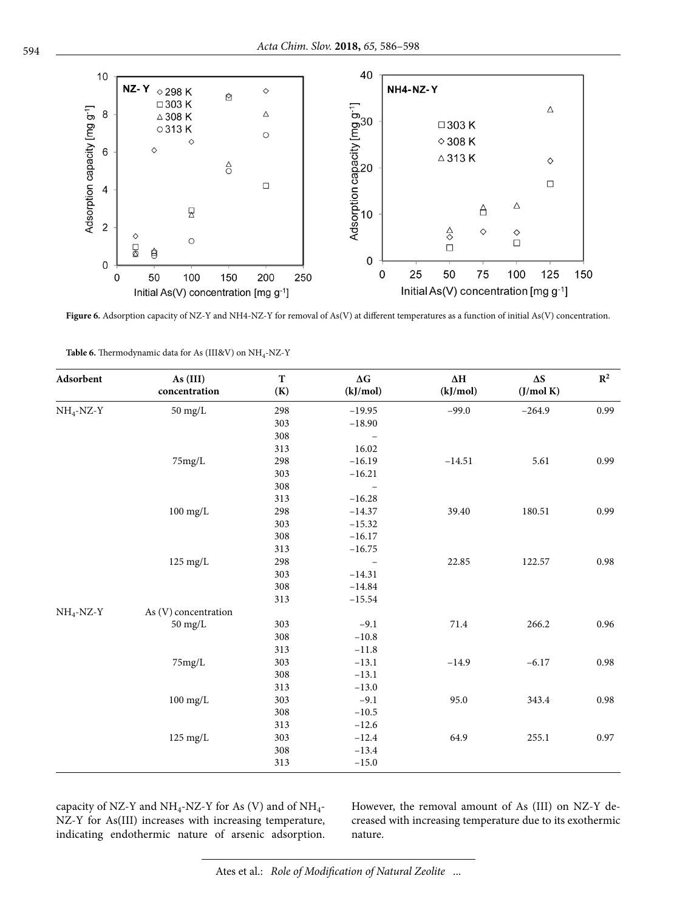

Figure 6. Adsorption capacity of NZ-Y and NH4-NZ-Y for removal of As(V) at different temperatures as a function of initial As(V) concentration.

| Adsorbent    | As (III)<br>concentration | T<br>(K) | $\Delta G$<br>(kJ/mol) | $\Delta \mathbf{H}$<br>(kJ/mol) | $\Delta S$<br>(J/mol K)                                  | $\mathbb{R}^2$ |
|--------------|---------------------------|----------|------------------------|---------------------------------|----------------------------------------------------------|----------------|
| $NH_4$ -NZ-Y | $50 \text{ mg/L}$         | 298      | $-19.95$               | $-99.0$                         |                                                          | 0.99           |
|              |                           | 303      | $-18.90$               |                                 |                                                          |                |
|              |                           | 308      |                        |                                 |                                                          |                |
|              |                           | 313      | 16.02                  |                                 |                                                          |                |
|              | 75mg/L                    | 298      | $-16.19$               | $-14.51$                        | 5.61                                                     | 0.99           |
|              |                           | 303      | $-16.21$               |                                 |                                                          |                |
|              |                           | 308      |                        |                                 |                                                          |                |
|              |                           | 313      | $-16.28$               |                                 |                                                          |                |
|              | $100$ mg/L                | 298      | $-14.37$               | 39.40                           | 180.51                                                   | 0.99           |
|              |                           | 303      | $-15.32$               |                                 |                                                          |                |
|              |                           | 308      | $-16.17$               |                                 |                                                          |                |
|              |                           | 313      | $-16.75$               |                                 | $-264.9$<br>122.57<br>266.2<br>$-6.17$<br>343.4<br>255.1 |                |
|              | $125 \text{ mg/L}$        | 298      | $\qquad \qquad -$      | 22.85                           |                                                          | 0.98           |
|              |                           | 303      | $-14.31$               |                                 |                                                          |                |
|              |                           | 308      | $-14.84$               |                                 |                                                          |                |
|              |                           | 313      | $-15.54$               |                                 |                                                          |                |
| $NH_4-NZ-Y$  | As (V) concentration      |          |                        |                                 |                                                          |                |
|              | $50 \text{ mg/L}$         | 303      | $-9.1$                 | 71.4                            |                                                          | 0.96           |
|              |                           | 308      | $-10.8\,$              |                                 |                                                          |                |
|              |                           | 313      | $-11.8$                |                                 |                                                          |                |
|              | 75mg/L                    | 303      | $-13.1$                | $-14.9$                         |                                                          | 0.98           |
|              |                           | 308      | $-13.1$                |                                 |                                                          |                |
|              |                           | 313      | $-13.0$                |                                 |                                                          |                |
|              | $100$ mg/L                | 303      | $-9.1$                 | 95.0                            |                                                          | 0.98           |
|              |                           | 308      | $-10.5$                |                                 |                                                          |                |
|              |                           | 313      | $-12.6$                |                                 |                                                          |                |
|              | $125 \text{ mg/L}$        | 303      | $-12.4$                | 64.9                            |                                                          | 0.97           |
|              |                           | 308      | $-13.4$                |                                 |                                                          |                |
|              |                           | 313      | $-15.0$                |                                 |                                                          |                |

**Table 6.** Thermodynamic data for As (III&V) on NH4-NZ-Y

capacity of NZ-Y and NH<sub>4</sub>-NZ-Y for As (V) and of NH<sub>4</sub>-NZ-Y for As(III) increases with increasing temperature, indicating endothermic nature of arsenic adsorption. However, the removal amount of As (III) on NZ-Y decreased with increasing temperature due to its exothermic nature.

Ates et al.: *Role of Modification of Natural Zeolite* ...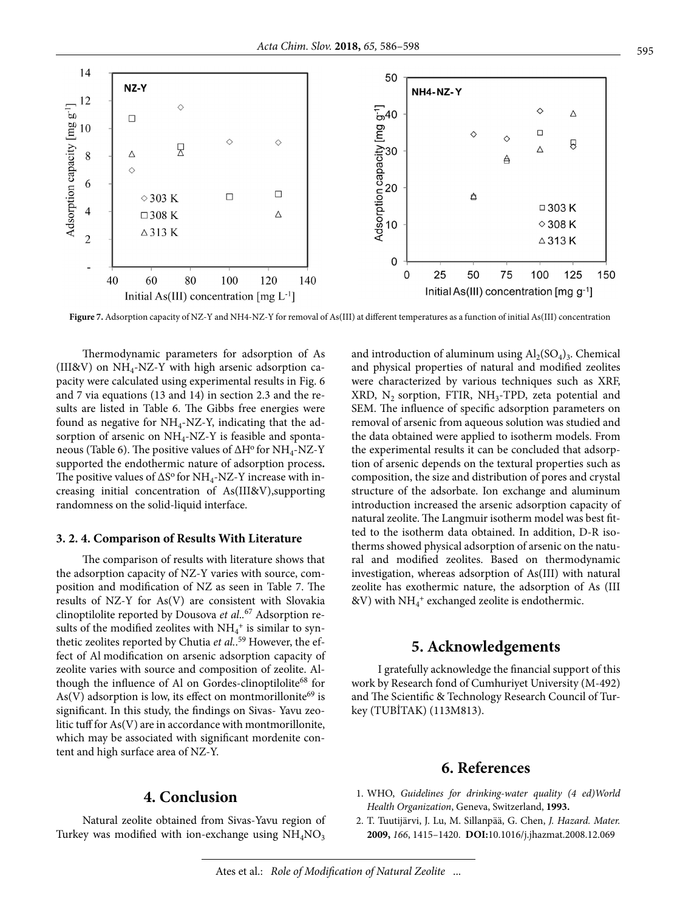

Figure 7. Adsorption capacity of NZ-Y and NH4-NZ-Y for removal of As(III) at different temperatures as a function of initial As(III) concentration

Thermodynamic parameters for adsorption of As (III&V) on  $NH_4$ -NZ-Y with high arsenic adsorption capacity were calculated using experimental results in Fig. 6 and 7 via equations (13 and 14) in section 2.3 and the results are listed in Table 6. The Gibbs free energies were found as negative for  $NH_4$ -NZ-Y, indicating that the adsorption of arsenic on  $NH_4$ -NZ-Y is feasible and spontaneous (Table 6). The positive values of ∆H<sup>o</sup> for NH<sub>4</sub>-NZ-Y supported the endothermic nature of adsorption process**.**  The positive values of  $\Delta S^{\rm o}$  for NH<sub>4</sub>-NZ-Y increase with increasing initial concentration of As(III&V),supporting randomness on the solid-liquid interface.

#### **3. 2. 4. Comparison of Results With Literature**

The comparison of results with literature shows that the adsorption capacity of NZ-Y varies with source, composition and modification of NZ as seen in Table 7. The results of NZ-Y for As(V) are consistent with Slovakia clinoptilolite reported by Dousova *et al*.*.* 67 Adsorption results of the modified zeolites with  $\mathrm{NH}_4{}^+$  is similar to synthetic zeolites reported by Chutia *et al.*. 59 However, the effect of Al modification on arsenic adsorption capacity of zeolite varies with source and composition of zeolite. Although the influence of Al on Gordes-clinoptilolite<sup>68</sup> for  $As(V)$  adsorption is low, its effect on montmorillonite<sup>69</sup> is significant. In this study, the findings on Sivas- Yavu zeolitic tuff for As(V) are in accordance with montmorillonite, which may be associated with significant mordenite content and high surface area of NZ-Y.

## and introduction of aluminum using  $Al_2(SO_4)_3$ . Chemical and physical properties of natural and modified zeolites were characterized by various techniques such as XRF, XRD,  $N_2$  sorption, FTIR, NH<sub>3</sub>-TPD, zeta potential and SEM. The influence of specific adsorption parameters on removal of arsenic from aqueous solution was studied and the data obtained were applied to isotherm models. From the experimental results it can be concluded that adsorption of arsenic depends on the textural properties such as composition, the size and distribution of pores and crystal structure of the adsorbate. Ion exchange and aluminum introduction increased the arsenic adsorption capacity of natural zeolite. The Langmuir isotherm model was best fitted to the isotherm data obtained. In addition, D-R isotherms showed physical adsorption of arsenic on the natural and modified zeolites. Based on thermodynamic investigation, whereas adsorption of As(III) with natural zeolite has exothermic nature, the adsorption of As (III  $\&{\rm V})$  with  ${\rm NH_4^+}$  exchanged zeolite is endothermic.

## **5. Acknowledgements**

I gratefully acknowledge the financial support of this work by Research fond of Cumhuriyet University (M-492) and The Scientific & Technology Research Council of Turkey (TUBİTAK) (113M813).

## **6. References**

 1. WHO, *Guidelines for drinking-water quality (4 ed)World Health Organization*, Geneva, Switzerland, **1993.**

#### 2. T. Tuutijärvi, J. Lu, M. Sillanpää, G. Chen, *J. Hazard. Mater.* **2009,** *166*, 1415–1420. **DOI:**[10.1016/j.jhazmat.2008.12.069](https://doi.org/10.1016/j.jhazmat.2008.12.069)

## **4. Conclusion**

Natural zeolite obtained from Sivas-Yavu region of Turkey was modified with ion-exchange using  $NH<sub>4</sub>NO<sub>3</sub>$ 

Ates et al.: *Role of Modification of Natural Zeolite* ...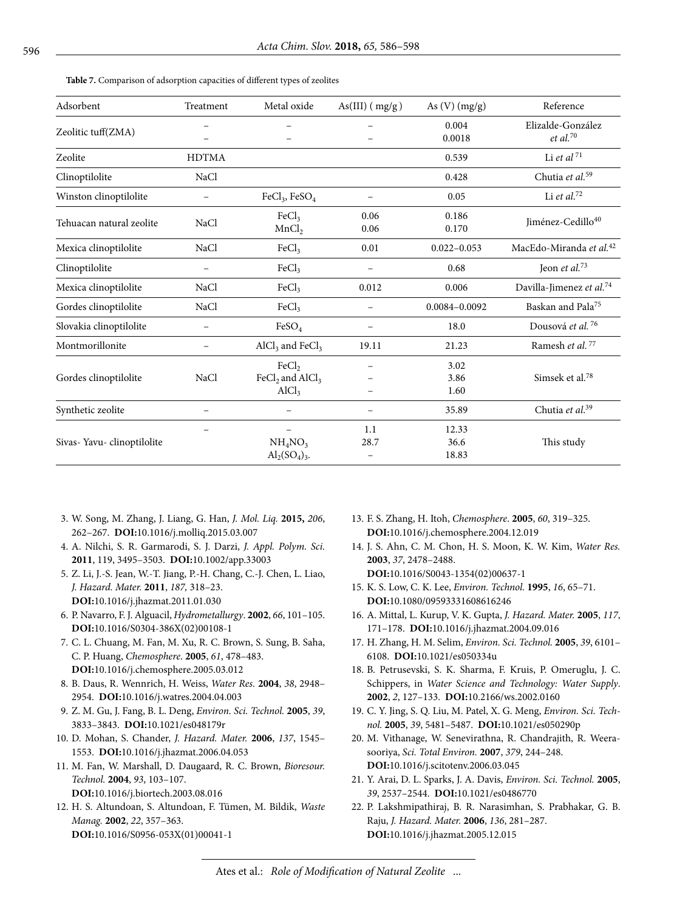**Table 7.** Comparison of adsorption capacities of different types of zeolites

| Adsorbent                 | Treatment    | Metal oxide                                                   | $As(III)$ ( $mg/g$ ) | As $(V)$ $(mg/g)$      | Reference                                   |
|---------------------------|--------------|---------------------------------------------------------------|----------------------|------------------------|---------------------------------------------|
| Zeolitic tuff(ZMA)        |              |                                                               |                      | 0.004<br>0.0018        | Elizalde-González<br>$et$ al. <sup>70</sup> |
| Zeolite                   | <b>HDTMA</b> |                                                               |                      | 0.539                  | Li et al $^{\rm 71}$                        |
| Clinoptilolite            | NaCl         |                                                               |                      | 0.428                  | Chutia et al. <sup>59</sup>                 |
| Winston clinoptilolite    |              | $FeCl3$ , $FeSO4$                                             |                      | 0.05                   | Li et al. $72$                              |
| Tehuacan natural zeolite  | NaCl         | FeCl <sub>3</sub><br>MnCl <sub>2</sub>                        | 0.06<br>0.06         | 0.186<br>0.170         | Jiménez-Cedillo40                           |
| Mexica clinoptilolite     | NaCl         | FeCl <sub>3</sub>                                             | 0.01                 | $0.022 - 0.053$        | MacEdo-Miranda et al. <sup>42</sup>         |
| Clinoptilolite            |              | FeCl <sub>3</sub>                                             |                      | 0.68                   | Jeon et al. $73$                            |
| Mexica clinoptilolite     | NaCl         | FeCl <sub>3</sub>                                             | 0.012                | 0.006                  | Davilla-Jimenez et al. <sup>74</sup>        |
| Gordes clinoptilolite     | NaCl         | FeCl <sub>3</sub>                                             |                      | 0.0084-0.0092          | Baskan and Pala <sup>75</sup>               |
| Slovakia clinoptilolite   |              | FeSO <sub>4</sub>                                             |                      | 18.0                   | Dousová et al. <sup>76</sup>                |
| Montmorillonite           |              | $\text{AlCl}_3$ and $\text{FeCl}_3$                           | 19.11                | 21.23                  | Ramesh et al. <sup>77</sup>                 |
| Gordes clinoptilolite     | NaCl         | FeCl <sub>2</sub><br>$FeCl2$ and $AlCl3$<br>AlCl <sub>3</sub> |                      | 3.02<br>3.86<br>1.60   | Simsek et al. <sup>78</sup>                 |
| Synthetic zeolite         |              |                                                               |                      | 35.89                  | Chutia et al. <sup>39</sup>                 |
| Sivas-Yavu-clinoptilolite |              | NH <sub>4</sub> NO <sub>3</sub><br>$Al_2(SO_4)_3.$            | 1.1<br>28.7          | 12.33<br>36.6<br>18.83 | This study                                  |

- 3. W. Song, M. Zhang, J. Liang, G. Han, *J. Mol. Liq.* **2015,** *206*, 262–267. **DOI:**[10.1016/j.molliq.2015.03.007](https://doi.org/10.1016/j.molliq.2015.03.007)
- 4. A. Nilchi, S. R. Garmarodi, S. J. Darzi, *J. Appl. Polym. Sci.* **2011**, 119, 3495–3503. **DOI:**[10.1002/app.33003](https://doi.org/10.1002/app.33003)
- 5. Z. Li, J.-S. Jean, W.-T. Jiang, P.-H. Chang, C.-J. Chen, L. Liao, *J. Hazard. Mater.* **2011**, *187,* 318–23. **DOI:**[10.1016/j.jhazmat.2011.01.030](https://doi.org/10.1016/j.jhazmat.2011.01.030)
- 6. P. Navarro, F. J. Alguacil, *Hydrometallurgy*. **2002**, *66*, 101–105. **DOI:**[10.1016/S0304-386X\(02\)00108-1](https://doi.org/10.1016/S0304-386X(02)00108-1)
- 7. C. L. Chuang, M. Fan, M. Xu, R. C. Brown, S. Sung, B. Saha, C. P. Huang, *Chemosphere*. **2005**, *61*, 478–483. **DOI:**[10.1016/j.chemosphere.2005.03.012](https://doi.org/10.1016/j.chemosphere.2005.03.012)
- 8. B. Daus, R. Wennrich, H. Weiss, *Water Res.* **2004**, *38*, 2948– 2954. **DOI:**[10.1016/j.watres.2004.04.003](https://doi.org/10.1016/j.watres.2004.04.003)
- 9. Z. M. Gu, J. Fang, B. L. Deng, *Environ. Sci. Technol.* **2005**, *39*, 3833–3843. **DOI:**[10.1021/es048179r](https://doi.org/10.1021/es048179r)
- 10. D. Mohan, S. Chander, *J. Hazard. Mater.* **2006**, *137*, 1545– 1553. **DOI:**[10.1016/j.jhazmat.2006.04.053](https://doi.org/10.1016/j.jhazmat.2006.04.053)
- 11. M. Fan, W. Marshall, D. Daugaard, R. C. Brown, *Bioresour. Technol.* **2004**, *93*, 103–107. **DOI:**[10.1016/j.biortech.2003.08.016](https://doi.org/10.1016/j.biortech.2003.08.016)
- 12. H. S. Altundoan, S. Altundoan, F. Tümen, M. Bildik, *Waste Manag.* **2002**, *22*, 357–363. **DOI:**[10.1016/S0956-053X\(01\)00041-1](https://doi.org/10.1016/S0956-053X(01)00041-1)
- 13. F. S. Zhang, H. Itoh, *Chemosphere*. **2005**, *60*, 319–325. **DOI:**[10.1016/j.chemosphere.2004.12.019](https://doi.org/10.1016/j.chemosphere.2004.12.019)
- 14. J. S. Ahn, C. M. Chon, H. S. Moon, K. W. Kim, *Water Res.* **2003**, *37*, 2478–2488. **DOI:**[10.1016/S0043-1354\(02\)00637-1](https://doi.org/10.1016/S0043-1354(02)00637-1)
- 15. K. S. Low, C. K. Lee, *Environ. Technol.* **1995**, *16*, 65–71. **DOI:**[10.1080/09593331608616246](https://doi.org/10.1080/09593331608616246)
- 16. A. Mittal, L. Kurup, V. K. Gupta, *J. Hazard. Mater.* **2005**, *117*, 171–178. **DOI:**[10.1016/j.jhazmat.2004.09.016](https://doi.org/10.1016/j.jhazmat.2004.09.016)
- 17. H. Zhang, H. M. Selim, *Environ. Sci. Technol.* **2005**, *39*, 6101– 6108. **DOI:**[10.1021/es050334u](https://doi.org/10.1021/es050334u)
- 18. B. Petrusevski, S. K. Sharma, F. Kruis, P. Omeruglu, J. C. Schippers, in *Water Science and Technology: Water Supply*. **2002**, *2*, 127–133. **DOI:**[10.2166/ws.2002.0160](https://doi.org/10.2166/ws.2002.0160)
- 19. C. Y. Jing, S. Q. Liu, M. Patel, X. G. Meng, *Environ. Sci. Technol.* **2005**, *39*, 5481–5487. **DOI:**[10.1021/es050290p](https://doi.org/10.1021/es050290p)
- 20. M. Vithanage, W. Senevirathna, R. Chandrajith, R. Weerasooriya, *Sci. Total Environ.* **2007**, *379*, 244–248. **DOI:**[10.1016/j.scitotenv.2006.03.045](https://doi.org/10.1016/j.scitotenv.2006.03.045)
- 21. Y. Arai, D. L. Sparks, J. A. Davis, *Environ. Sci. Technol.* **2005**, *39*, 2537–2544. **DOI:**[10.1021/es0486770](https://doi.org/10.1021/es0486770)
- 22. P. Lakshmipathiraj, B. R. Narasimhan, S. Prabhakar, G. B. Raju, *J. Hazard. Mater.* **2006**, *136*, 281–287. **DOI:**[10.1016/j.jhazmat.2005.12.015](https://doi.org/10.1016/j.jhazmat.2005.12.015)

## Ates et al.: *Role of Modification of Natural Zeolite* ...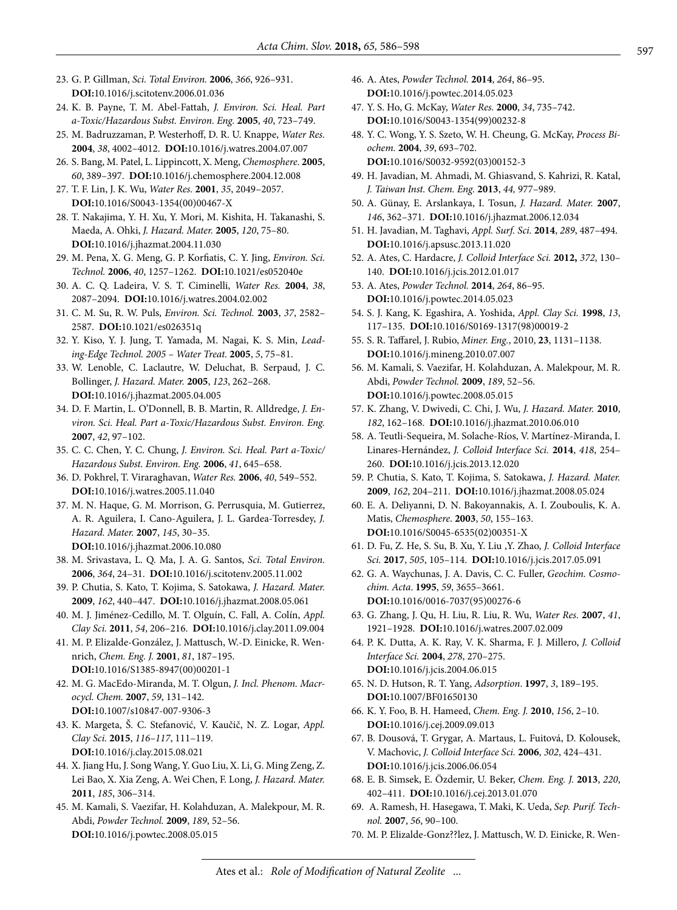- 23. G. P. Gillman, *Sci. Total Environ.* **2006**, *366*, 926–931. **DOI:**[10.1016/j.scitotenv.2006.01.036](https://doi.org/10.1016/j.scitotenv.2006.01.036)
- 24. K. B. Payne, T. M. Abel-Fattah, *J. Environ. Sci. Heal. Part a-Toxic/Hazardous Subst. Environ. Eng.* **2005**, *40*, 723–749.
- 25. M. Badruzzaman, P. Westerhoff, D. R. U. Knappe, *Water Res.* **2004**, *38*, 4002–4012. **DOI:**[10.1016/j.watres.2004.07.007](https://doi.org/10.1016/j.watres.2004.07.007)
- 26. S. Bang, M. Patel, L. Lippincott, X. Meng, *Chemosphere*. **2005**, *60*, 389–397. **DOI:**[10.1016/j.chemosphere.2004.12.008](https://doi.org/10.1016/j.chemosphere.2004.12.008)
- 27. T. F. Lin, J. K. Wu, *Water Res.* **2001**, *35*, 2049–2057. **DOI:**[10.1016/S0043-1354\(00\)00467-X](https://doi.org/10.1016/S0043-1354(00)00467-X)
- 28. T. Nakajima, Y. H. Xu, Y. Mori, M. Kishita, H. Takanashi, S. Maeda, A. Ohki, *J. Hazard. Mater.* **2005**, *120*, 75–80. **DOI:**[10.1016/j.jhazmat.2004.11.030](https://doi.org/10.1016/j.jhazmat.2004.11.030)
- 29. M. Pena, X. G. Meng, G. P. Korfiatis, C. Y. Jing, *Environ. Sci. Technol.* **2006**, *40*, 1257–1262. **DOI:**[10.1021/es052040e](https://doi.org/10.1021/es052040e)
- 30. A. C. Q. Ladeira, V. S. T. Ciminelli, *Water Res.* **2004**, *38*, 2087–2094. **DOI:**[10.1016/j.watres.2004.02.002](https://doi.org/10.1016/j.watres.2004.02.002)
- 31. C. M. Su, R. W. Puls, *Environ. Sci. Technol.* **2003**, *37*, 2582– 2587. **DOI:**[10.1021/es026351q](https://doi.org/10.1021/es026351q)
- 32. Y. Kiso, Y. J. Jung, T. Yamada, M. Nagai, K. S. Min, *Leading-Edge Technol. 2005 – Water Treat.* **2005**, *5*, 75–81.
- 33. W. Lenoble, C. Laclautre, W. Deluchat, B. Serpaud, J. C. Bollinger, *J. Hazard. Mater.* **2005**, *123*, 262–268. **DOI:**[10.1016/j.jhazmat.2005.04.005](https://doi.org/10.1016/j.jhazmat.2005.04.005)
- 34. D. F. Martin, L. O'Donnell, B. B. Martin, R. Alldredge, *J. Environ. Sci. Heal. Part a-Toxic/Hazardous Subst. Environ. Eng.* **2007**, *42*, 97–102.
- 35. C. C. Chen, Y. C. Chung, *J. Environ. Sci. Heal. Part a-Toxic/ Hazardous Subst. Environ. Eng.* **2006**, *41*, 645–658.
- 36. D. Pokhrel, T. Viraraghavan, *Water Res.* **2006**, *40*, 549–552. **DOI:**[10.1016/j.watres.2005.11.040](https://doi.org/10.1016/j.watres.2005.11.040)
- 37. M. N. Haque, G. M. Morrison, G. Perrusquia, M. Gutierrez, A. R. Aguilera, I. Cano-Aguilera, J. L. Gardea-Torresdey, *J. Hazard. Mater.* **2007**, *145*, 30–35. **DOI:**[10.1016/j.jhazmat.2006.10.080](https://doi.org/10.1016/j.jhazmat.2006.10.080)
- 38. M. Srivastava, L. Q. Ma, J. A. G. Santos, *Sci. Total Environ.* **2006**, *364*, 24–31. **DOI:**[10.1016/j.scitotenv.2005.11.002](https://doi.org/10.1016/j.scitotenv.2005.11.002)
- 39. P. Chutia, S. Kato, T. Kojima, S. Satokawa, *J. Hazard. Mater.* **2009**, *162*, 440–447. **DOI:**[10.1016/j.jhazmat.2008.05.061](https://doi.org/10.1016/j.jhazmat.2008.05.061)
- 40. M. J. Jiménez-Cedillo, M. T. Olguín, C. Fall, A. Colín, *Appl. Clay Sci.* **2011**, *54*, 206–216. **DOI:**[10.1016/j.clay.2011.09.004](https://doi.org/10.1016/j.clay.2011.09.004)
- 41. M. P. Elizalde-González, J. Mattusch, W.-D. Einicke, R. Wennrich, *Chem. Eng. J.* **2001**, *81*, 187–195. **DOI:**[10.1016/S1385-8947\(00\)00201-1](https://doi.org/10.1016/S1385-8947(00)00201-1)
- 42. M. G. MacEdo-Miranda, M. T. Olgun, *J. Incl. Phenom. Macrocycl. Chem.* **2007**, *59*, 131–142. **DOI:**[10.1007/s10847-007-9306-3](https://doi.org/10.1007/s10847-007-9306-3)
- 43. K. Margeta, Š. C. Stefanović, V. Kaučič, N. Z. Logar, *Appl. Clay Sci.* **2015**, *116–117*, 111–119. **DOI:**[10.1016/j.clay.2015.08.021](https://doi.org/10.1016/j.clay.2015.08.021)
- 44. X. Jiang Hu, J. Song Wang, Y. Guo Liu, X. Li, G. Ming Zeng, Z. Lei Bao, X. Xia Zeng, A. Wei Chen, F. Long, *J. Hazard. Mater.* **2011**, *185*, 306–314.
- 45. M. Kamali, S. Vaezifar, H. Kolahduzan, A. Malekpour, M. R. Abdi, *Powder Technol.* **2009**, *189*, 52–56. **DOI:**[10.1016/j.powtec.2008.05.015](https://doi.org/10.1016/j.powtec.2008.05.015)
- 46. A. Ates, *Powder Technol.* **2014**, *264*, 86–95. **DOI:**[10.1016/j.powtec.2014.05.023](https://doi.org/10.1016/j.powtec.2014.05.023)
- 47. Y. S. Ho, G. McKay, *Water Res.* **2000**, *34*, 735–742. **DOI:**[10.1016/S0043-1354\(99\)00232-8](https://doi.org/10.1016/S0043-1354(99)00232-8)
- 48. Y. C. Wong, Y. S. Szeto, W. H. Cheung, G. McKay, *Process Biochem.* **2004**, *39*, 693–702. **DOI:**[10.1016/S0032-9592\(03\)00152-3](https://doi.org/10.1016/S0032-9592(03)00152-3)
- 49. H. Javadian, M. Ahmadi, M. Ghiasvand, S. Kahrizi, R. Katal, *J. Taiwan Inst. Chem. Eng.* **2013**, *44,* 977–989.
- 50. A. Günay, E. Arslankaya, I. Tosun, *J. Hazard. Mater.* **2007**, *146*, 362–371. **DOI:**[10.1016/j.jhazmat.2006.12.034](https://doi.org/10.1016/j.jhazmat.2006.12.034)
- 51. H. Javadian, M. Taghavi, *Appl. Surf. Sci.* **2014**, *289*, 487–494. **DOI:**[10.1016/j.apsusc.2013.11.020](https://doi.org/10.1016/j.apsusc.2013.11.020)
- 52. A. Ates, C. Hardacre, *J. Colloid Interface Sci.* **2012,** *372*, 130– 140. **DOI:**[10.1016/j.jcis.2012.01.017](https://doi.org/10.1016/j.jcis.2012.01.017)
- 53. A. Ates, *Powder Technol.* **2014**, *264*, 86–95. **DOI:**[10.1016/j.powtec.2014.05.023](https://doi.org/10.1016/j.powtec.2014.05.023)
- 54. S. J. Kang, K. Egashira, A. Yoshida, *Appl. Clay Sci.* **1998**, *13*, 117–135. **DOI:**[10.1016/S0169-1317\(98\)00019-2](https://doi.org/10.1016/S0169-1317(98)00019-2)
- 55. S. R. Taffarel, J. Rubio, *Miner. Eng.*, 2010, **23**, 1131–1138. **DOI:**[10.1016/j.mineng.2010.07.007](https://doi.org/10.1016/j.mineng.2010.07.007)
- 56. M. Kamali, S. Vaezifar, H. Kolahduzan, A. Malekpour, M. R. Abdi, *Powder Technol.* **2009**, *189*, 52–56. **DOI:**[10.1016/j.powtec.2008.05.015](https://doi.org/10.1016/j.powtec.2008.05.015)
- 57. K. Zhang, V. Dwivedi, C. Chi, J. Wu, *J. Hazard. Mater.* **2010**, *182*, 162–168. **DOI:**[10.1016/j.jhazmat.2010.06.010](https://doi.org/10.1016/j.jhazmat.2010.06.010)
- 58. A. Teutli-Sequeira, M. Solache-Ríos, V. Martínez-Miranda, I. Linares-Hernández, *J. Colloid Interface Sci.* **2014**, *418*, 254– 260. **DOI:**[10.1016/j.jcis.2013.12.020](https://doi.org/10.1016/j.jcis.2013.12.020)
- 59. P. Chutia, S. Kato, T. Kojima, S. Satokawa, *J. Hazard. Mater.* **2009**, *162*, 204–211. **DOI:**[10.1016/j.jhazmat.2008.05.024](https://doi.org/10.1016/j.jhazmat.2008.05.024)
- 60. E. A. Deliyanni, D. N. Bakoyannakis, A. I. Zouboulis, K. A. Matis, *Chemosphere*. **2003**, *50*, 155–163. **DOI:**[10.1016/S0045-6535\(02\)00351-X](https://doi.org/10.1016/S0045-6535(02)00351-X)
- 61. D. Fu, Z. He, S. Su, B. Xu, Y. Liu ,Y. Zhao, *J. Colloid Interface Sci.* **2017**, *505*, 105–114. **DOI:**[10.1016/j.jcis.2017.05.091](https://doi.org/10.1016/j.jcis.2017.05.091)
- 62. G. A. Waychunas, J. A. Davis, C. C. Fuller, *Geochim. Cosmochim. Acta*. **1995**, *59*, 3655–3661. **DOI:**[10.1016/0016-7037\(95\)00276-6](https://doi.org/10.1016/0016-7037(95)00276-6)
- 63. G. Zhang, J. Qu, H. Liu, R. Liu, R. Wu, *Water Res.* **2007**, *41*, 1921–1928. **DOI:**[10.1016/j.watres.2007.02.009](https://doi.org/10.1016/j.watres.2007.02.009)
- 64. P. K. Dutta, A. K. Ray, V. K. Sharma, F. J. Millero, *J. Colloid Interface Sci.* **2004**, *278*, 270–275. **DOI:**[10.1016/j.jcis.2004.06.015](https://doi.org/10.1016/j.jcis.2004.06.015)
- 65. N. D. Hutson, R. T. Yang, *Adsorption*. **1997**, *3*, 189–195. **DOI:**[10.1007/BF01650130](https://doi.org/10.1007/BF01650130)
- 66. K. Y. Foo, B. H. Hameed, *Chem. Eng. J.* **2010**, *156*, 2–10. **DOI:**[10.1016/j.cej.2009.09.013](https://doi.org/10.1016/j.cej.2009.09.013)
- 67. B. Dousová, T. Grygar, A. Martaus, L. Fuitová, D. Kolousek, V. Machovic, *J. Colloid Interface Sci.* **2006**, *302*, 424–431. **DOI:**[10.1016/j.jcis.2006.06.054](https://doi.org/10.1016/j.jcis.2006.06.054)
- 68. E. B. Simsek, E. Özdemir, U. Beker, *Chem. Eng. J.* **2013**, *220*, 402–411. **DOI:**[10.1016/j.cej.2013.01.070](https://doi.org/10.1016/j.cej.2013.01.070)
- 69. A. Ramesh, H. Hasegawa, T. Maki, K. Ueda, *Sep. Purif. Technol.* **2007**, *56*, 90–100.
- 70. M. P. Elizalde-Gonz??lez, J. Mattusch, W. D. Einicke, R. Wen-